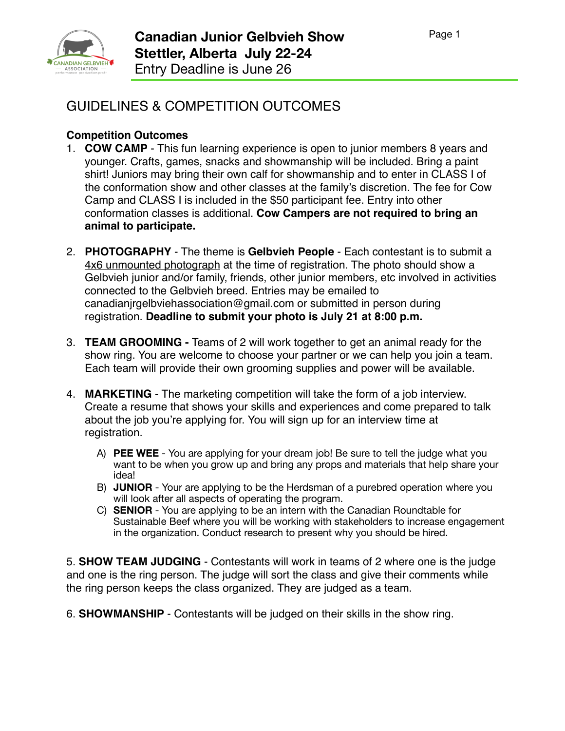

## GUIDELINES & COMPETITION OUTCOMES

## **Competition Outcomes**

- 1. **COW CAMP** This fun learning experience is open to junior members 8 years and younger. Crafts, games, snacks and showmanship will be included. Bring a paint shirt! Juniors may bring their own calf for showmanship and to enter in CLASS I of the conformation show and other classes at the family's discretion. The fee for Cow Camp and CLASS I is included in the \$50 participant fee. Entry into other conformation classes is additional. **Cow Campers are not required to bring an animal to participate.**
- 2. **PHOTOGRAPHY** The theme is **Gelbvieh People**  Each contestant is to submit a 4x6 unmounted photograph at the time of registration. The photo should show a Gelbvieh junior and/or family, friends, other junior members, etc involved in activities connected to the Gelbvieh breed. Entries may be emailed to canadianjrgelbviehassociation@gmail.com or submitted in person during registration. **Deadline to submit your photo is July 21 at 8:00 p.m.**
- 3. **TEAM GROOMING** Teams of 2 will work together to get an animal ready for the show ring. You are welcome to choose your partner or we can help you join a team. Each team will provide their own grooming supplies and power will be available.
- 4. **MARKETING** The marketing competition will take the form of a job interview. Create a resume that shows your skills and experiences and come prepared to talk about the job you're applying for. You will sign up for an interview time at registration.
	- A) **PEE WEE** You are applying for your dream job! Be sure to tell the judge what you want to be when you grow up and bring any props and materials that help share your idea!
	- B) **JUNIOR**  Your are applying to be the Herdsman of a purebred operation where you will look after all aspects of operating the program.
	- C) **SENIOR** You are applying to be an intern with the Canadian Roundtable for Sustainable Beef where you will be working with stakeholders to increase engagement in the organization. Conduct research to present why you should be hired.

5. **SHOW TEAM JUDGING** - Contestants will work in teams of 2 where one is the judge and one is the ring person. The judge will sort the class and give their comments while the ring person keeps the class organized. They are judged as a team.

6. **SHOWMANSHIP** - Contestants will be judged on their skills in the show ring.